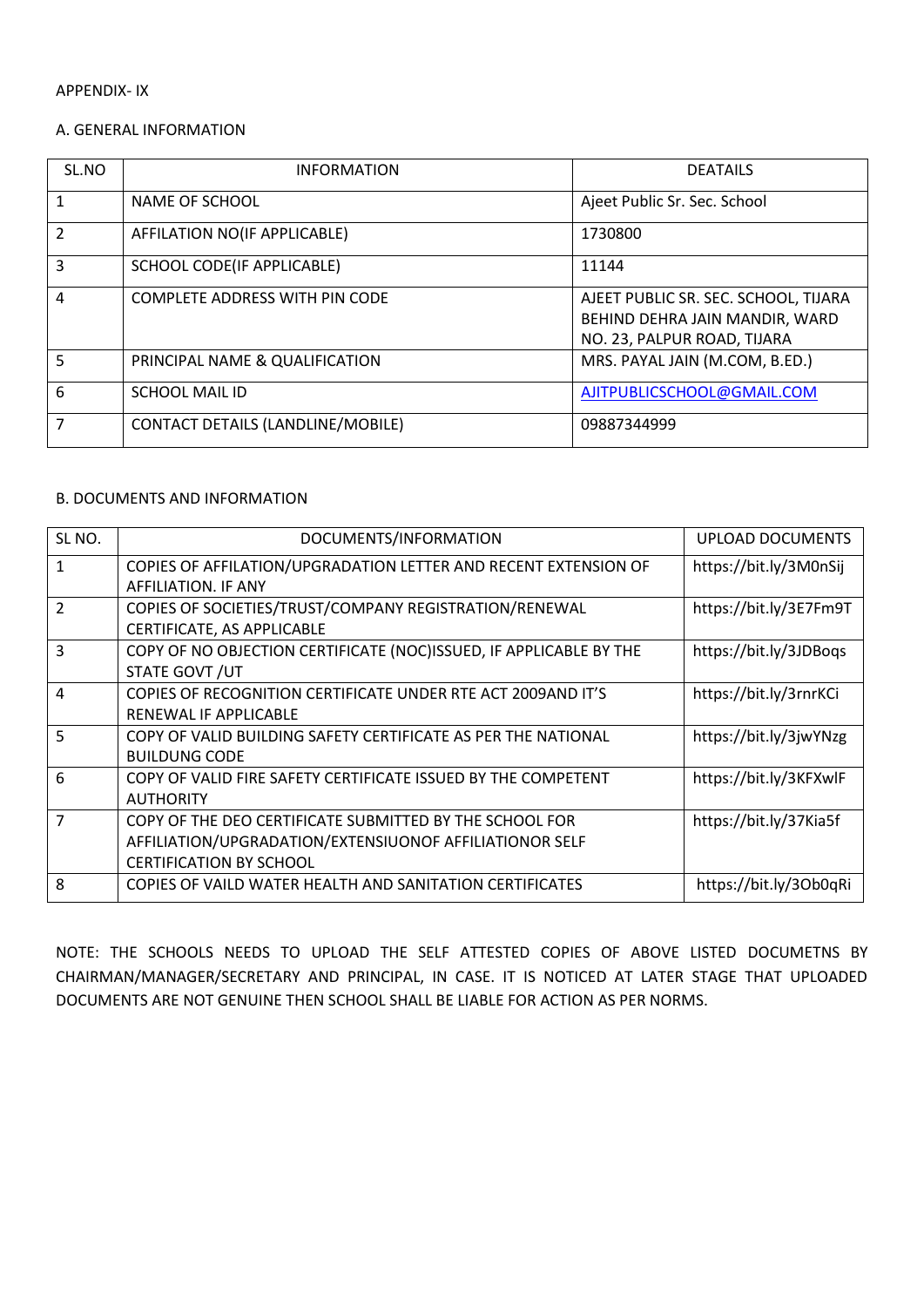#### APPENDIX- IX

#### A. GENERAL INFORMATION

| SL.NO          | <b>INFORMATION</b>                    | <b>DEATAILS</b>                                                                                       |
|----------------|---------------------------------------|-------------------------------------------------------------------------------------------------------|
| 1              | <b>NAME OF SCHOOL</b>                 | Ajeet Public Sr. Sec. School                                                                          |
| $\overline{2}$ | AFFILATION NO(IF APPLICABLE)          | 1730800                                                                                               |
| 3              | SCHOOL CODE(IF APPLICABLE)            | 11144                                                                                                 |
| 4              | <b>COMPLETE ADDRESS WITH PIN CODE</b> | AJEET PUBLIC SR. SEC. SCHOOL, TIJARA<br>BEHIND DEHRA JAIN MANDIR, WARD<br>NO. 23, PALPUR ROAD, TIJARA |
| 5              | PRINCIPAL NAME & QUALIFICATION        | MRS. PAYAL JAIN (M.COM, B.ED.)                                                                        |
| 6              | <b>SCHOOL MAIL ID</b>                 | AJITPUBLICSCHOOL@GMAIL.COM                                                                            |
| 7              | CONTACT DETAILS (LANDLINE/MOBILE)     | 09887344999                                                                                           |

### B. DOCUMENTS AND INFORMATION

| SL <sub>NO</sub> . | DOCUMENTS/INFORMATION<br><b>UPLOAD DOCUMENTS</b>                   |                        |
|--------------------|--------------------------------------------------------------------|------------------------|
| 1                  | COPIES OF AFFILATION/UPGRADATION LETTER AND RECENT EXTENSION OF    | https://bit.ly/3M0nSij |
|                    | AFFILIATION. IF ANY                                                |                        |
| $\mathcal{P}$      | COPIES OF SOCIETIES/TRUST/COMPANY REGISTRATION/RENEWAL             | https://bit.ly/3E7Fm9T |
|                    | CERTIFICATE, AS APPLICABLE                                         |                        |
| 3                  | COPY OF NO OBJECTION CERTIFICATE (NOC)ISSUED, IF APPLICABLE BY THE | https://bit.ly/3JDBogs |
|                    | STATE GOVT / UT                                                    |                        |
| $\overline{4}$     | COPIES OF RECOGNITION CERTIFICATE UNDER RTE ACT 2009AND IT'S       | https://bit.ly/3rnrKCi |
|                    | RENEWAL IF APPLICABLE                                              |                        |
| 5                  | COPY OF VALID BUILDING SAFETY CERTIFICATE AS PER THE NATIONAL      | https://bit.ly/3jwYNzg |
|                    | <b>BUILDUNG CODE</b>                                               |                        |
| 6                  | COPY OF VALID FIRE SAFETY CERTIFICATE ISSUED BY THE COMPETENT      | https://bit.ly/3KFXwlF |
|                    | <b>AUTHORITY</b>                                                   |                        |
| $\overline{7}$     | COPY OF THE DEO CERTIFICATE SUBMITTED BY THE SCHOOL FOR            | https://bit.ly/37Kia5f |
|                    | AFFILIATION/UPGRADATION/EXTENSIUONOF AFFILIATIONOR SELF            |                        |
|                    | <b>CERTIFICATION BY SCHOOL</b>                                     |                        |
| 8                  | COPIES OF VAILD WATER HEALTH AND SANITATION CERTIFICATES           | https://bit.ly/30b0qRi |

NOTE: THE SCHOOLS NEEDS TO UPLOAD THE SELF ATTESTED COPIES OF ABOVE LISTED DOCUMETNS BY CHAIRMAN/MANAGER/SECRETARY AND PRINCIPAL, IN CASE. IT IS NOTICED AT LATER STAGE THAT UPLOADED DOCUMENTS ARE NOT GENUINE THEN SCHOOL SHALL BE LIABLE FOR ACTION AS PER NORMS.